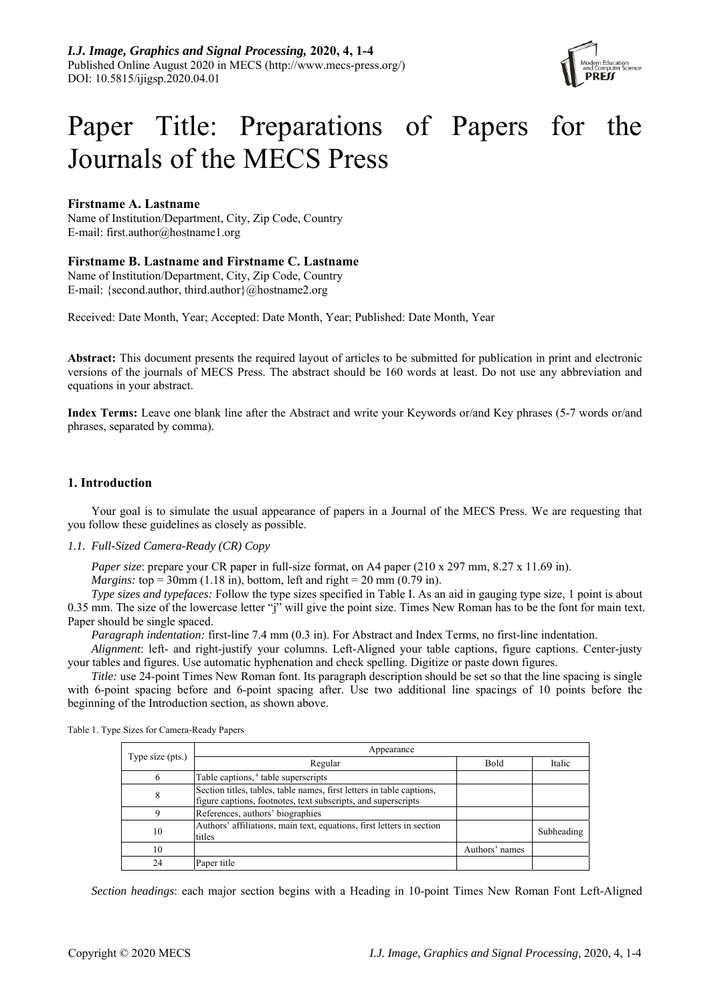

# Paper Title: Preparations of Papers for the Journals of the MECS Press

# **Firstname A. Lastname**

Name of Institution/Department, City, Zip Code, Country E-mail: first.author@hostname1.org

# **Firstname B. Lastname and Firstname C. Lastname**

Name of Institution/Department, City, Zip Code, Country E-mail: {second.author, third.author}@hostname2.org

Received: Date Month, Year; Accepted: Date Month, Year; Published: Date Month, Year

**Abstract:** This document presents the required layout of articles to be submitted for publication in print and electronic versions of the journals of MECS Press. The abstract should be 160 words at least. Do not use any abbreviation and equations in your abstract.

**Index Terms:** Leave one blank line after the Abstract and write your Keywords or/and Key phrases (5-7 words or/and phrases, separated by comma).

# **1. Introduction**

Your goal is to simulate the usual appearance of papers in a Journal of the MECS Press. We are requesting that you follow these guidelines as closely as possible.

# *1.1. Full-Sized Camera-Ready (CR) Copy*

*Paper size*: prepare your CR paper in full-size format, on A4 paper (210 x 297 mm, 8.27 x 11.69 in).

*Margins:* top = 30mm (1.18 in), bottom, left and right = 20 mm (0.79 in).

*Type sizes and typefaces:* Follow the type sizes specified in Table I. As an aid in gauging type size, 1 point is about 0.35 mm. The size of the lowercase letter "j" will give the point size. Times New Roman has to be the font for main text. Paper should be single spaced.

*Paragraph indentation:* first-line 7.4 mm (0.3 in). For Abstract and Index Terms, no first-line indentation.

*Alignment*: left- and right-justify your columns. Left-Aligned your table captions, figure captions. Center-justy your tables and figures. Use automatic hyphenation and check spelling. Digitize or paste down figures.

*Title:* use 24-point Times New Roman font. Its paragraph description should be set so that the line spacing is single with 6-point spacing before and 6-point spacing after. Use two additional line spacings of 10 points before the beginning of the Introduction section, as shown above.

| Type size (pts.) | Appearance                                                                                                                             |                |            |
|------------------|----------------------------------------------------------------------------------------------------------------------------------------|----------------|------------|
|                  | Regular                                                                                                                                | <b>Bold</b>    | Italic     |
| 6                | Table captions, <sup>a</sup> table superscripts                                                                                        |                |            |
| 8                | Section titles, tables, table names, first letters in table captions,<br>figure captions, footnotes, text subscripts, and superscripts |                |            |
| Q                | References, authors' biographies                                                                                                       |                |            |
| 10               | Authors' affiliations, main text, equations, first letters in section<br>titles                                                        |                | Subheading |
| 10               |                                                                                                                                        | Authors' names |            |
| 24               | Paper title                                                                                                                            |                |            |

Table 1. Type Sizes for Camera-Ready Papers

*Section headings*: each major section begins with a Heading in 10-point Times New Roman Font Left-Aligned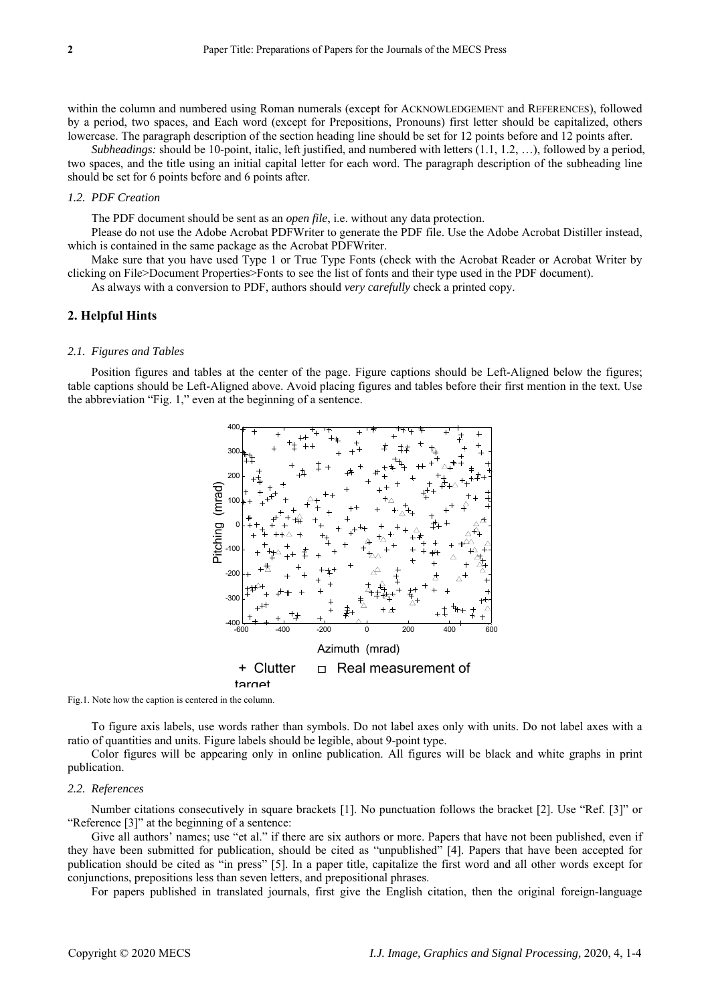within the column and numbered using Roman numerals (except for ACKNOWLEDGEMENT and REFERENCES), followed by a period, two spaces, and Each word (except for Prepositions, Pronouns) first letter should be capitalized, others lowercase. The paragraph description of the section heading line should be set for 12 points before and 12 points after.

*Subheadings:* should be 10-point, italic, left justified, and numbered with letters (1.1, 1.2, …), followed by a period, two spaces, and the title using an initial capital letter for each word. The paragraph description of the subheading line should be set for 6 points before and 6 points after.

## *1.2. PDF Creation*

The PDF document should be sent as an *open file*, i.e. without any data protection.

Please do not use the Adobe Acrobat PDFWriter to generate the PDF file. Use the Adobe Acrobat Distiller instead, which is contained in the same package as the Acrobat PDFWriter.

Make sure that you have used Type 1 or True Type Fonts (check with the Acrobat Reader or Acrobat Writer by clicking on File>Document Properties>Fonts to see the list of fonts and their type used in the PDF document).

As always with a conversion to PDF, authors should *very carefully* check a printed copy.

# **2. Helpful Hints**

#### *2.1. Figures and Tables*

Position figures and tables at the center of the page. Figure captions should be Left-Aligned below the figures; table captions should be Left-Aligned above. Avoid placing figures and tables before their first mention in the text. Use the abbreviation "Fig. 1," even at the beginning of a sentence.



Fig.1. Note how the caption is centered in the column.

To figure axis labels, use words rather than symbols. Do not label axes only with units. Do not label axes with a ratio of quantities and units. Figure labels should be legible, about 9-point type.

Color figures will be appearing only in online publication. All figures will be black and white graphs in print publication.

#### *2.2. References*

Number citations consecutively in square brackets [1]. No punctuation follows the bracket [2]. Use "Ref. [3]" or "Reference [3]" at the beginning of a sentence:

Give all authors' names; use "et al." if there are six authors or more. Papers that have not been published, even if they have been submitted for publication, should be cited as "unpublished" [4]. Papers that have been accepted for publication should be cited as "in press" [5]. In a paper title, capitalize the first word and all other words except for conjunctions, prepositions less than seven letters, and prepositional phrases.

For papers published in translated journals, first give the English citation, then the original foreign-language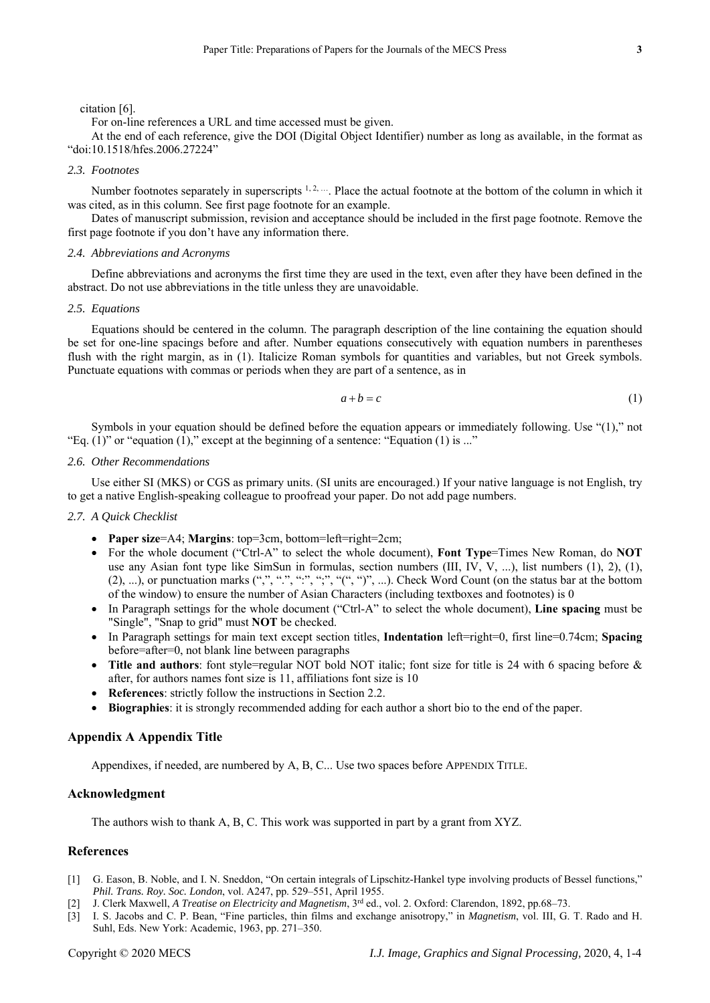### citation [6].

For on-line references a URL and time accessed must be given.

At the end of each reference, give the DOI (Digital Object Identifier) number as long as available, in the format as "doi:10.1518/hfes.2006.27224"

#### *2.3. Footnotes*

Number footnotes separately in superscripts  $1, 2, \dots$ . Place the actual footnote at the bottom of the column in which it was cited, as in this column. See first page footnote for an example.

Dates of manuscript submission, revision and acceptance should be included in the first page footnote. Remove the first page footnote if you don't have any information there.

## *2.4. Abbreviations and Acronyms*

Define abbreviations and acronyms the first time they are used in the text, even after they have been defined in the abstract. Do not use abbreviations in the title unless they are unavoidable.

#### *2.5. Equations*

Equations should be centered in the column. The paragraph description of the line containing the equation should be set for one-line spacings before and after. Number equations consecutively with equation numbers in parentheses flush with the right margin, as in (1). Italicize Roman symbols for quantities and variables, but not Greek symbols. Punctuate equations with commas or periods when they are part of a sentence, as in

$$
a+b=c \tag{1}
$$

Symbols in your equation should be defined before the equation appears or immediately following. Use "(1)," not "Eq.  $(1)$ " or "equation  $(1)$ ," except at the beginning of a sentence: "Equation  $(1)$  is ..."

# *2.6. Other Recommendations*

Use either SI (MKS) or CGS as primary units. (SI units are encouraged.) If your native language is not English, try to get a native English-speaking colleague to proofread your paper. Do not add page numbers.

# *2.7. A Quick Checklist*

- **Paper size**=A4; **Margins**: top=3cm, bottom=left=right=2cm;
- For the whole document ("Ctrl-A" to select the whole document), **Font Type**=Times New Roman, do **NOT**  use any Asian font type like SimSun in formulas, section numbers (III, IV, V, ...), list numbers (1), 2), (1),  $(2), ...$ ), or punctuation marks  $(",", "", "", "", "", "", "", ...).$  Check Word Count (on the status bar at the bottom of the window) to ensure the number of Asian Characters (including textboxes and footnotes) is 0
- In Paragraph settings for the whole document ("Ctrl-A" to select the whole document), **Line spacing** must be "Single", "Snap to grid" must **NOT** be checked.
- In Paragraph settings for main text except section titles, **Indentation** left=right=0, first line=0.74cm; **Spacing**  before=after=0, not blank line between paragraphs
- Title and authors: font style=regular NOT bold NOT italic; font size for title is 24 with 6 spacing before & after, for authors names font size is 11, affiliations font size is 10
- **References**: strictly follow the instructions in Section 2.2.
- **Biographies**: it is strongly recommended adding for each author a short bio to the end of the paper.

# **Appendix A Appendix Title**

Appendixes, if needed, are numbered by A, B, C... Use two spaces before APPENDIX TITLE.

#### **Acknowledgment**

The authors wish to thank A, B, C. This work was supported in part by a grant from XYZ.

## **References**

- [1] G. Eason, B. Noble, and I. N. Sneddon, "On certain integrals of Lipschitz-Hankel type involving products of Bessel functions," *Phil. Trans. Roy. Soc. London*, vol. A247, pp. 529–551, April 1955.
- [2] J. Clerk Maxwell, *A Treatise on Electricity and Magnetism*, 3rd ed., vol. 2. Oxford: Clarendon, 1892, pp.68–73.
- [3] I. S. Jacobs and C. P. Bean, "Fine particles, thin films and exchange anisotropy," in *Magnetism*, vol. III, G. T. Rado and H. Suhl, Eds. New York: Academic, 1963, pp. 271–350.